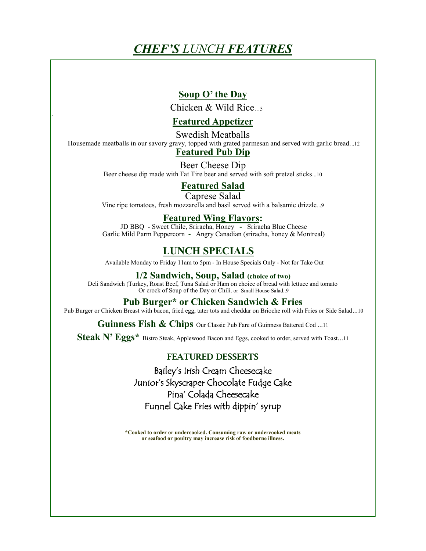# *CHEF'S LUNCH FEATURES*

# **Soup O' the Day**

Chicken  $&$  Wild Rice  $\frac{1}{5}$ 

## **Featured Appetizer**

Swedish Meatballs Housemade meatballs in our savory gravy, topped with grated parmesan and served with garlic bread...12

## **Featured Pub Dip**

Beer Cheese Dip Beer cheese dip made with Fat Tire beer and served with soft pretzel sticks...10

# **Featured Salad**

Caprese Salad Vine ripe tomatoes, fresh mozzarella and basil served with a balsamic drizzle...9

### **Featured Wing Flavors:**

JD BBQ - Sweet Chile, Sriracha, Honey **-** Sriracha Blue Cheese Garlic Mild Parm Peppercorn **-** Angry Canadian (sriracha, honey & Montreal)

# **LUNCH SPECIALS**

Available Monday to Friday 11am to 5pm - In House Specials Only - Not for Take Out

### **1/2 Sandwich, Soup, Salad (choice of two)**

Deli Sandwich (Turkey, Roast Beef, Tuna Salad or Ham on choice of bread with lettuce and tomato Or crock of Soup of the Day or Chili. or Small House Salad..9

## **Pub Burger\* or Chicken Sandwich & Fries**

Pub Burger or Chicken Breast with bacon, fried egg, tater tots and cheddar on Brioche roll with Fries or Side Salad...10

Guinness Fish & Chips Our Classic Pub Fare of Guinness Battered Cod ...11

**Steak N' Eggs\*** Bistro Steak, Applewood Bacon and Eggs, cooked to order, served with Toast...<sup>11</sup>

### FEATURED DESSERTS

Bailey's Irish Cream Cheesecake Junior's Skyscraper Chocolate Fudge Cake Pina' Colada Cheesecake Funnel Cake Fries with dippin' syrup

**\*Cooked to order or undercooked. Consuming raw or undercooked meats or seafood or poultry may increase risk of foodborne illness.**